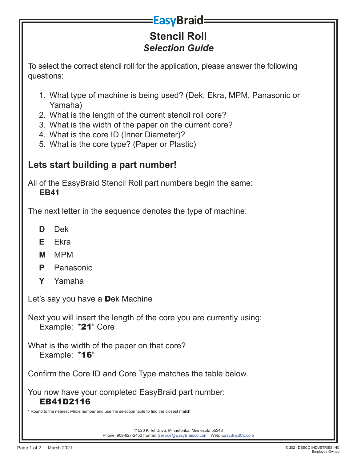## **EasyBraid**

## **Stencil Roll** *Selection Guide*

To select the correct stencil roll for the application, please answer the following questions:

- 1. What type of machine is being used? (Dek, Ekra, MPM, Panasonic or Yamaha)
- 2. What is the length of the current stencil roll core?
- 3. What is the width of the paper on the current core?
- 4. What is the core ID (Inner Diameter)?
- 5. What is the core type? (Paper or Plastic)

## **Lets start building a part number!**

All of the EasyBraid Stencil Roll part numbers begin the same: **EB41**

The next letter in the sequence denotes the type of machine:

- **D** Dek
- **E** Ekra
- **M** MPM
- **P** Panasonic
- **Y** Yamaha

Let's say you have a Dek Machine

Next you will insert the length of the core you are currently using: Example: \*21" Core

What is the width of the paper on that core? Example: **\*16**"

Confirm the Core ID and Core Type matches the table below.

You now have your completed EasyBraid part number: EB41D2116

\* Round to the nearest whole number and use the selection table to find the closest match

11520 K-Tel Drive, Minnetonka, Minnesota 55343 Phone: 909-627-2453 | Email: Service@EasyBraidco.com | Web: EasyBraidCo.com